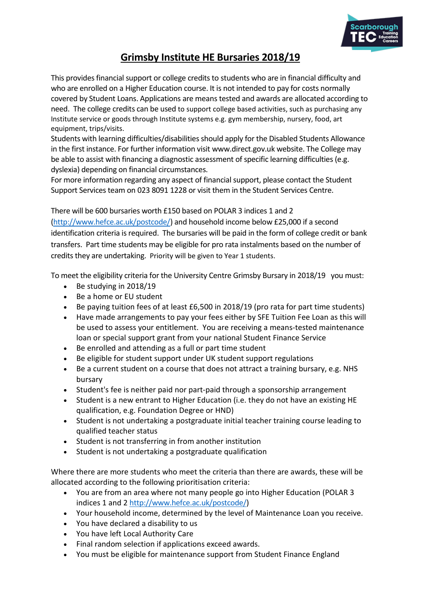

# **Grimsby Institute HE Bursaries 2018/19**

This provides financial support or college credits to students who are in financial difficulty and who are enrolled on a Higher Education course. It is not intended to pay for costs normally covered by Student Loans. Applications are means tested and awards are allocated according to need. The college credits can be used to support college based activities, such as purchasing any Institute service or goods through Institute systems e.g. gym membership, nursery, food, art equipment, trips/visits.

Students with learning difficulties/disabilities should apply for the Disabled Students Allowance in the first instance. For further information visit [www.direct.gov.uk](http://www.direct.gov.uk/) website. The College may be able to assist with financing a diagnostic assessment of specific learning difficulties (e.g. dyslexia) depending on financial circumstances.

For more information regarding any aspect of financial support, please contact the Student Support Services team on 023 8091 1228 or visit them in the Student Services Centre.

# There will be 600 bursaries worth £150 based on POLAR 3 indices 1 and 2

[\(http://www.hefce.ac.uk/postcode/\)](http://www.hefce.ac.uk/postcode/) and household income below £25,000 if a second identification criteria is required. The bursaries will be paid in the form of college credit or bank transfers. Part time students may be eligible for pro rata instalments based on the number of credits they are undertaking. Priority will be given to Year 1 students.

To meet the eligibility criteria for the University Centre Grimsby Bursary in 2018/19 you must:

- Be studying in 2018/19
- Be a home or EU student
- Be paying tuition fees of at least £6,500 in 2018/19 (pro rata for part time students)
- Have made arrangements to pay your fees either by SFE Tuition Fee Loan as this will be used to assess your entitlement. You are receiving a means-tested maintenance loan or special support grant from your national Student Finance Service
- Be enrolled and attending as a full or part time student
- Be eligible for student support under UK student support regulations
- Be a current student on a course that does not attract a training bursary, e.g. NHS bursary
- Student's fee is neither paid nor part-paid through a sponsorship arrangement
- Student is a new entrant to Higher Education (i.e. they do not have an existing HE qualification, e.g. Foundation Degree or HND)
- Student is not undertaking a postgraduate initial teacher training course leading to qualified teacher status
- Student is not transferring in from another institution
- Student is not undertaking a postgraduate qualification

Where there are more students who meet the criteria than there are awards, these will be allocated according to the following prioritisation criteria:

- You are from an area where not many people go into Higher Education (POLAR 3 indices 1 and 2 [http://www.hefce.ac.uk/postcode/\)](http://www.hefce.ac.uk/postcode/)
- Your household income, determined by the level of Maintenance Loan you receive.
- You have declared a disability to us
- You have left Local Authority Care
- Final random selection if applications exceed awards.
- You must be eligible for maintenance support from Student Finance England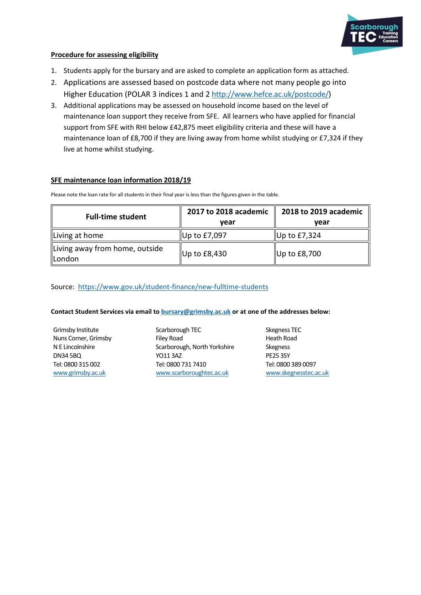

### **Procedure for assessing eligibility**

- 1. Students apply for the bursary and are asked to complete an application form as attached.
- 2. Applications are assessed based on postcode data where not many people go into Higher Education (POLAR 3 indices 1 and 2 [http://www.hefce.ac.uk/postcode/\)](http://www.hefce.ac.uk/postcode/)
- 3. Additional applications may be assessed on household income based on the level of maintenance loan support they receive from SFE. All learners who have applied for financial support from SFE with RHI below £42,875 meet eligibility criteria and these will have a maintenance loan of £8,700 if they are living away from home whilst studying or £7,324 if they live at home whilst studying.

### **SFE maintenance loan information 2018/19**

**Full-time student 2017 to 2018 academic year 2018 to 2019 academic year** Living at home  $\parallel$  Up to £7,097  $\parallel$  Up to £7,324 Living away from home, outside London London Up to  $E8,430$  Up to  $E8,700$ 

Please note the loan rate for all students in their final year is less than the figures given in the table.

### Source:<https://www.gov.uk/student-finance/new-fulltime-students>

### **Contact Student Services via email to [bursary@grimsby.ac.uk](mailto:bursary@grimsby.ac.uk) or at one of the addresses below:**

Grimsby Institute Nuns Corner, Grimsby N E Lincolnshire DN34 5BQ Tel: 0800 315 002 [www.grimsby.ac.uk](http://www.grimsby.ac.uk/)

Scarborough TEC Filey Road Scarborough, North Yorkshire YO11 3AZ Tel: 0800 731 7410 [www.scarboroughtec.ac.uk](http://www.scarboroughtec.ac.uk/)

Skegness TEC Heath Road Skegness PE25 3SY Tel: 0800 389 0097 [www.skegnesstec.ac.uk](http://www.skegnesstec.ac.uk/)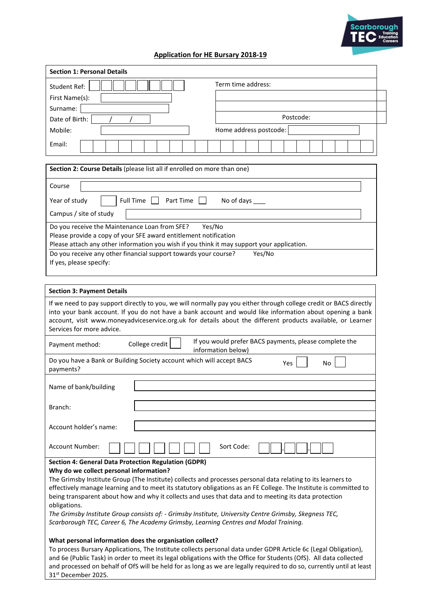

## **Application for HE Bursary 2018-19**

| <b>Section 1: Personal Details</b>                                                                                                                                                                                                                                                                                                                                                                                                                                                                                                                                                                                                                                                                                                                                                                                                                                                                                                                                                                                                                                                                                          |                        |  |
|-----------------------------------------------------------------------------------------------------------------------------------------------------------------------------------------------------------------------------------------------------------------------------------------------------------------------------------------------------------------------------------------------------------------------------------------------------------------------------------------------------------------------------------------------------------------------------------------------------------------------------------------------------------------------------------------------------------------------------------------------------------------------------------------------------------------------------------------------------------------------------------------------------------------------------------------------------------------------------------------------------------------------------------------------------------------------------------------------------------------------------|------------------------|--|
| <b>Student Ref:</b>                                                                                                                                                                                                                                                                                                                                                                                                                                                                                                                                                                                                                                                                                                                                                                                                                                                                                                                                                                                                                                                                                                         | Term time address:     |  |
| First Name(s):                                                                                                                                                                                                                                                                                                                                                                                                                                                                                                                                                                                                                                                                                                                                                                                                                                                                                                                                                                                                                                                                                                              |                        |  |
| Surname:                                                                                                                                                                                                                                                                                                                                                                                                                                                                                                                                                                                                                                                                                                                                                                                                                                                                                                                                                                                                                                                                                                                    |                        |  |
| Date of Birth:                                                                                                                                                                                                                                                                                                                                                                                                                                                                                                                                                                                                                                                                                                                                                                                                                                                                                                                                                                                                                                                                                                              | Postcode:              |  |
| Mobile:                                                                                                                                                                                                                                                                                                                                                                                                                                                                                                                                                                                                                                                                                                                                                                                                                                                                                                                                                                                                                                                                                                                     | Home address postcode: |  |
| Email:                                                                                                                                                                                                                                                                                                                                                                                                                                                                                                                                                                                                                                                                                                                                                                                                                                                                                                                                                                                                                                                                                                                      |                        |  |
| Section 2: Course Details (please list all if enrolled on more than one)                                                                                                                                                                                                                                                                                                                                                                                                                                                                                                                                                                                                                                                                                                                                                                                                                                                                                                                                                                                                                                                    |                        |  |
| Course                                                                                                                                                                                                                                                                                                                                                                                                                                                                                                                                                                                                                                                                                                                                                                                                                                                                                                                                                                                                                                                                                                                      |                        |  |
| Year of study<br><b>Full Time</b><br>Part Time<br>No of days                                                                                                                                                                                                                                                                                                                                                                                                                                                                                                                                                                                                                                                                                                                                                                                                                                                                                                                                                                                                                                                                |                        |  |
| Campus / site of study                                                                                                                                                                                                                                                                                                                                                                                                                                                                                                                                                                                                                                                                                                                                                                                                                                                                                                                                                                                                                                                                                                      |                        |  |
| Do you receive the Maintenance Loan from SFE?<br>Yes/No<br>Please provide a copy of your SFE award entitlement notification<br>Please attach any other information you wish if you think it may support your application.<br>Do you receive any other financial support towards your course?<br>Yes/No<br>If yes, please specify:                                                                                                                                                                                                                                                                                                                                                                                                                                                                                                                                                                                                                                                                                                                                                                                           |                        |  |
| <b>Section 3: Payment Details</b><br>If we need to pay support directly to you, we will normally pay you either through college credit or BACS directly<br>into your bank account. If you do not have a bank account and would like information about opening a bank<br>account, visit www.moneyadviceservice.org.uk for details about the different products available, or Learner<br>Services for more advice.                                                                                                                                                                                                                                                                                                                                                                                                                                                                                                                                                                                                                                                                                                            |                        |  |
| If you would prefer BACS payments, please complete the<br>College credit<br>Payment method:<br>information below)                                                                                                                                                                                                                                                                                                                                                                                                                                                                                                                                                                                                                                                                                                                                                                                                                                                                                                                                                                                                           |                        |  |
| Do you have a Bank or Building Society account which will accept BACS<br>Yes<br>No<br>payments?                                                                                                                                                                                                                                                                                                                                                                                                                                                                                                                                                                                                                                                                                                                                                                                                                                                                                                                                                                                                                             |                        |  |
| Name of bank/building                                                                                                                                                                                                                                                                                                                                                                                                                                                                                                                                                                                                                                                                                                                                                                                                                                                                                                                                                                                                                                                                                                       |                        |  |
| Branch:                                                                                                                                                                                                                                                                                                                                                                                                                                                                                                                                                                                                                                                                                                                                                                                                                                                                                                                                                                                                                                                                                                                     |                        |  |
| Account holder's name:                                                                                                                                                                                                                                                                                                                                                                                                                                                                                                                                                                                                                                                                                                                                                                                                                                                                                                                                                                                                                                                                                                      |                        |  |
| Account Number:                                                                                                                                                                                                                                                                                                                                                                                                                                                                                                                                                                                                                                                                                                                                                                                                                                                                                                                                                                                                                                                                                                             | Sort Code:             |  |
| <b>Section 4: General Data Protection Regulation (GDPR)</b><br>Why do we collect personal information?<br>The Grimsby Institute Group (The Institute) collects and processes personal data relating to its learners to<br>effectively manage learning and to meet its statutory obligations as an FE College. The Institute is committed to<br>being transparent about how and why it collects and uses that data and to meeting its data protection<br>obligations.<br>The Grimsby Institute Group consists of: - Grimsby Institute, University Centre Grimsby, Skegness TEC,<br>Scarborough TEC, Career 6, The Academy Grimsby, Learning Centres and Modal Training.<br>What personal information does the organisation collect?<br>To process Bursary Applications, The Institute collects personal data under GDPR Article 6c (Legal Obligation),<br>and 6e (Public Task) in order to meet its legal obligations with the Office for Students (OfS). All data collected<br>and processed on behalf of OfS will be held for as long as we are legally required to do so, currently until at least<br>31st December 2025. |                        |  |